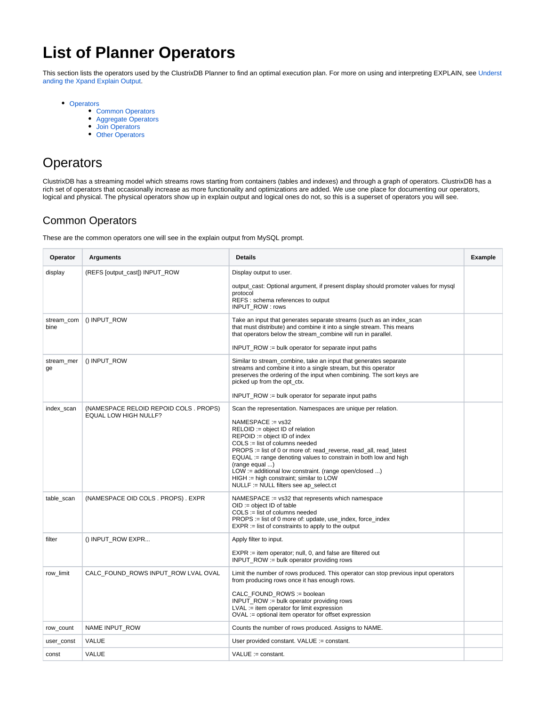# **List of Planner Operators**

This section lists the operators used by the ClustrixDB Planner to find an optimal execution plan. For more on using and interpreting EXPLAIN, see [Underst](https://docs.clustrix.com/display/CLXDOC/Understanding+the+Xpand+Explain+Output) [anding the Xpand Explain Output](https://docs.clustrix.com/display/CLXDOC/Understanding+the+Xpand+Explain+Output).

- [Operators](#page-0-0)
	- [Common Operators](#page-0-1)
		- [Aggregate Operators](#page-1-0)
		- [Join Operators](#page-2-0)
		- [Other Operators](#page-3-0)

# <span id="page-0-0"></span>**Operators**

ClustrixDB has a streaming model which streams rows starting from containers (tables and indexes) and through a graph of operators. ClustrixDB has a rich set of operators that occasionally increase as more functionality and optimizations are added. We use one place for documenting our operators, logical and physical. The physical operators show up in explain output and logical ones do not, so this is a superset of operators you will see.

## <span id="page-0-1"></span>Common Operators

These are the common operators one will see in the explain output from MySQL prompt.

| Operator           | <b>Arguments</b>                                                      | <b>Details</b>                                                                                                                                                                                                                                                                                                                                                                                                                                                                                                  | <b>Example</b> |
|--------------------|-----------------------------------------------------------------------|-----------------------------------------------------------------------------------------------------------------------------------------------------------------------------------------------------------------------------------------------------------------------------------------------------------------------------------------------------------------------------------------------------------------------------------------------------------------------------------------------------------------|----------------|
| display            | (REFS [output_cast]) INPUT_ROW                                        | Display output to user.<br>output_cast: Optional argument, if present display should promoter values for mysql<br>protocol<br>REFS : schema references to output<br>INPUT_ROW: rows                                                                                                                                                                                                                                                                                                                             |                |
| stream_com<br>bine | () INPUT_ROW                                                          | Take an input that generates separate streams (such as an index_scan<br>that must distribute) and combine it into a single stream. This means<br>that operators below the stream_combine will run in parallel.<br>INPUT ROW := bulk operator for separate input paths                                                                                                                                                                                                                                           |                |
| stream mer<br>ge   | () INPUT_ROW                                                          | Similar to stream_combine, take an input that generates separate<br>streams and combine it into a single stream, but this operator<br>preserves the ordering of the input when combining. The sort keys are<br>picked up from the opt_ctx.<br>INPUT_ROW := bulk operator for separate input paths                                                                                                                                                                                                               |                |
| index_scan         | (NAMESPACE RELOID REPOID COLS. PROPS)<br><b>EQUAL LOW HIGH NULLF?</b> | Scan the representation. Namespaces are unique per relation.<br>NAMESPACE := vs32<br>RELOID := object ID of relation<br>$REPOID := object ID of index$<br>$COLS := list of columns needed$<br>PROPS := list of 0 or more of: read reverse, read all, read latest<br>$EQUAL := \text{range denoting values to constrain in both low and high.}$<br>(range equal )<br>LOW := additional low constraint. (range open/closed )<br>HIGH := high constraint; similar to LOW<br>NULLF := NULL filters see ap_select.ct |                |
| table_scan         | (NAMESPACE OID COLS. PROPS). EXPR                                     | NAMESPACE := vs32 that represents which namespace<br>$OID := object ID of table$<br>$COLS :=$ list of columns needed<br>$PROPS :=$ list of 0 more of: update, use index, force index<br>$EXPR :=$ list of constraints to apply to the output                                                                                                                                                                                                                                                                    |                |
| filter             | () INPUT_ROW EXPR                                                     | Apply filter to input.<br>$EXPR :=$ item operator; null, 0, and false are filtered out<br>INPUT_ROW := bulk operator providing rows                                                                                                                                                                                                                                                                                                                                                                             |                |
| row_limit          | CALC_FOUND_ROWS INPUT_ROW LVAL OVAL                                   | Limit the number of rows produced. This operator can stop previous input operators<br>from producing rows once it has enough rows.<br>CALC FOUND ROWS := boolean<br>INPUT_ROW := bulk operator providing rows<br>$LVAL :=$ item operator for limit expression<br>OVAL := optional item operator for offset expression                                                                                                                                                                                           |                |
| row_count          | NAME INPUT_ROW                                                        | Counts the number of rows produced. Assigns to NAME.                                                                                                                                                                                                                                                                                                                                                                                                                                                            |                |
| user_const         | <b>VALUE</b>                                                          | User provided constant. VALUE := constant.                                                                                                                                                                                                                                                                                                                                                                                                                                                                      |                |
| const              | <b>VALUE</b>                                                          | $VALUE := constant.$                                                                                                                                                                                                                                                                                                                                                                                                                                                                                            |                |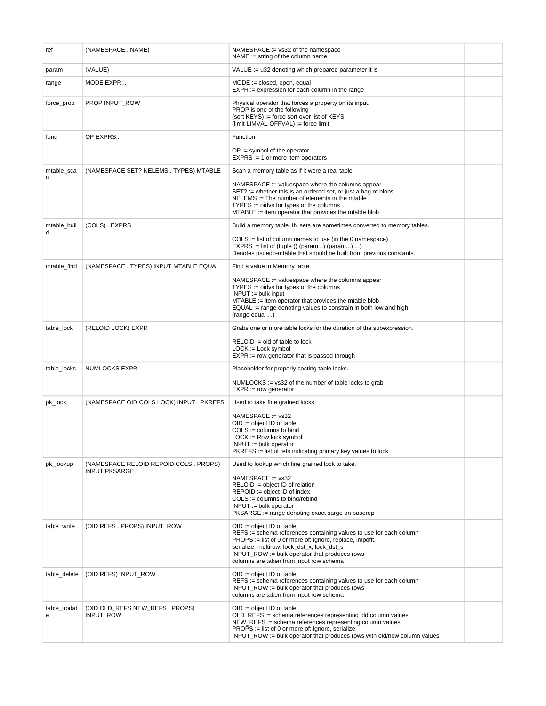<span id="page-1-0"></span>

| ref              | (NAMESPACE . NAME)                           | $NAMESPACE := vs32$ of the namespace<br>$NAME := string of the column name$                                                                                                                                                                                                                                |  |
|------------------|----------------------------------------------|------------------------------------------------------------------------------------------------------------------------------------------------------------------------------------------------------------------------------------------------------------------------------------------------------------|--|
| param            | (VALUE)                                      | VALUE := $u32$ denoting which prepared parameter it is                                                                                                                                                                                                                                                     |  |
| range            | MODE EXPR                                    | $MODE := closed$ , open, equal<br>$EXPR :=$ expression for each column in the range                                                                                                                                                                                                                        |  |
| force_prop       | PROP INPUT_ROW                               | Physical operator that forces a property on its input.<br>PROP is one of the following<br>(sort KEYS) := force sort over list of KEYS<br>(limit LIMVAL OFFVAL) := force limit                                                                                                                              |  |
| func             | OP EXPRS                                     | Function                                                                                                                                                                                                                                                                                                   |  |
|                  |                                              | $OP :=$ symbol of the operator<br>$EXPRS := 1$ or more item operators                                                                                                                                                                                                                                      |  |
| mtable sca<br>n  | (NAMESPACE SET? NELEMS . TYPES) MTABLE       | Scan a memory table as if it were a real table.                                                                                                                                                                                                                                                            |  |
|                  |                                              | $NAMESPACE := valuespace$ where the columns appear<br>$SET? :=$ whether this is an ordered set, or just a bag of blobs<br>NELEMS := The number of elements in the mtable<br>$TYPES :=$ oidvs for types of the columns<br>$MTABLE := item operator that provides the mutable blob$                          |  |
| mtable_buil<br>d | (COLS) . EXPRS                               | Build a memory table. IN sets are sometimes converted to memory tables.                                                                                                                                                                                                                                    |  |
|                  |                                              | $COLS :=$ list of column names to use (in the 0 namespace)<br>$EXPRS := list of (tuple () (param) (param)  )$<br>Denotes psuedo-mtable that should be built from previous constants.                                                                                                                       |  |
| mtable_find      | (NAMESPACE . TYPES) INPUT MTABLE EQUAL       | Find a value in Memory table.                                                                                                                                                                                                                                                                              |  |
|                  |                                              | NAMESPACE := valuespace where the columns appear<br>$TYPES :=$ oidvs for types of the columns<br>$INPUT := bulk input$<br>$MTABLE :=$ item operator that provides the mtable blob<br>$EQUAL := \text{range denoting values to constrain in both low and high.}$<br>(range equal )                          |  |
| table_lock       | (RELOID LOCK) EXPR                           | Grabs one or more table locks for the duration of the subexpression.                                                                                                                                                                                                                                       |  |
|                  |                                              | $RELOID :=$ oid of table to lock<br>$LOCK := Lock$ symbol<br>$EXPR := row$ generator that is passed through                                                                                                                                                                                                |  |
| table_locks      | NUMLOCKS EXPR                                | Placeholder for properly costing table locks.                                                                                                                                                                                                                                                              |  |
|                  |                                              | NUMLOCKS := $vs32$ of the number of table locks to grab<br>$EXPR := row generator$                                                                                                                                                                                                                         |  |
| pk_lock          | (NAMESPACE OID COLS LOCK) INPUT . PKREFS     | Used to take fine grained locks                                                                                                                                                                                                                                                                            |  |
|                  |                                              | $NAMESPACE := vs32$<br>$OID := object ID of table$<br>$COLS := columns to bind$<br>$LOCK := Row lock symbol$<br>$INPUT := bulk operator$<br>PKREFS := list of refs indicating primary key values to lock                                                                                                   |  |
| pk_lookup        | (NAMESPACE RELOID REPOID COLS. PROPS)        | Used to lookup which fine grained lock to take.                                                                                                                                                                                                                                                            |  |
|                  | <b>INPUT PKSARGE</b>                         | NAMESPACE := vs32<br>$RELOID := object ID of relation$<br>REPOID := object ID of index<br>$COLS := columns to bind/rebind$<br>$INPUT := bulk operator$<br>PKSARGE := range denoting exact sarge on baserep                                                                                                 |  |
| table_write      | (OID REFS. PROPS) INPUT_ROW                  | $OID := object ID of table$<br>REFS := schema references containing values to use for each column<br>PROPS := list of 0 or more of: ignore, replace, impdflt,<br>serialize, multirow, lock_dst_x, lock_dst_s<br>INPUT $ROW := bulk operator that produces rows$<br>columns are taken from input row schema |  |
| table_delete     | (OID REFS) INPUT_ROW                         | $OID := object ID of table$<br>REFS := schema references containing values to use for each column<br>INPUT_ROW := bulk operator that produces rows<br>columns are taken from input row schema                                                                                                              |  |
| table_updat<br>е | (OID OLD_REFS NEW_REFS . PROPS)<br>INPUT_ROW | $OID := object ID of table$<br>OLD_REFS := schema references representing old column values<br>NEW_REFS := schema references representing column values<br>$PROPS :=$ list of 0 or more of: ignore, serialize<br>INPUT_ROW := bulk operator that produces rows with old/new column values                  |  |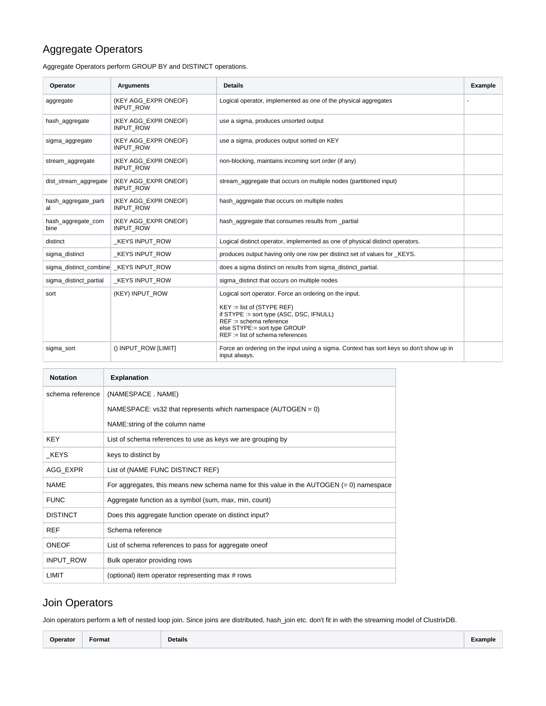# Aggregate Operators

Aggregate Operators perform GROUP BY and DISTINCT operations.

| Operator                   | <b>Arguments</b>                         | <b>Details</b>                                                                                                                                                                                                                        | Example |
|----------------------------|------------------------------------------|---------------------------------------------------------------------------------------------------------------------------------------------------------------------------------------------------------------------------------------|---------|
| aggregate                  | (KEY AGG_EXPR ONEOF)<br><b>INPUT ROW</b> | Logical operator, implemented as one of the physical aggregates                                                                                                                                                                       |         |
| hash aggregate             | (KEY AGG EXPR ONEOF)<br><b>INPUT ROW</b> | use a sigma, produces unsorted output                                                                                                                                                                                                 |         |
| sigma_aggregate            | (KEY AGG EXPR ONEOF)<br><b>INPUT ROW</b> | use a sigma, produces output sorted on KEY                                                                                                                                                                                            |         |
| stream_aggregate           | (KEY AGG_EXPR ONEOF)<br><b>INPUT ROW</b> | non-blocking, maintains incoming sort order (if any)                                                                                                                                                                                  |         |
| dist_stream_aggregate      | (KEY AGG_EXPR ONEOF)<br><b>INPUT ROW</b> | stream_aggregate that occurs on multiple nodes (partitioned input)                                                                                                                                                                    |         |
| hash_aggregate_parti<br>al | (KEY AGG_EXPR ONEOF)<br><b>INPUT ROW</b> | hash_aggregate that occurs on multiple nodes                                                                                                                                                                                          |         |
| hash aggregate com<br>bine | (KEY AGG EXPR ONEOF)<br>INPUT_ROW        | hash aggregate that consumes results from partial                                                                                                                                                                                     |         |
| distinct                   | <b>KEYS INPUT ROW</b>                    | Logical distinct operator, implemented as one of physical distinct operators.                                                                                                                                                         |         |
| sigma distinct             | <b>KEYS INPUT ROW</b>                    | produces output having only one row per distinct set of values for KEYS.                                                                                                                                                              |         |
| sigma_distinct_combine     | KEYS INPUT ROW                           | does a sigma distinct on results from sigma_distinct_partial.                                                                                                                                                                         |         |
| sigma_distinct_partial     | <b>KEYS INPUT ROW</b>                    | sigma distinct that occurs on multiple nodes                                                                                                                                                                                          |         |
| sort                       | (KEY) INPUT ROW                          | Logical sort operator. Force an ordering on the input.<br>$KEY := list of (STYPE REF)$<br>if STYPE := sort type (ASC, DSC, IFNULL)<br>$REF :=$ schema reference<br>else STYPE:= sort type GROUP<br>$REF :=$ list of schema references |         |
| sigma sort                 | () INPUT ROW [LIMIT]                     | Force an ordering on the input using a sigma. Context has sort keys so don't show up in<br>input always.                                                                                                                              |         |

| <b>Notation</b>  | <b>Explanation</b>                                                                         |
|------------------|--------------------------------------------------------------------------------------------|
| schema reference | (NAMESPACE . NAME)                                                                         |
|                  | NAMESPACE: $vs32$ that represents which namespace (AUTOGEN = 0)                            |
|                  | NAME:string of the column name                                                             |
| <b>KEY</b>       | List of schema references to use as keys we are grouping by                                |
| KEYS             | keys to distinct by                                                                        |
| AGG EXPR         | List of (NAME FUNC DISTINCT REF)                                                           |
| <b>NAMF</b>      | For aggregates, this means new schema name for this value in the AUTOGEN $(= 0)$ namespace |
| <b>FUNC</b>      | Aggregate function as a symbol (sum, max, min, count)                                      |
| <b>DISTINCT</b>  | Does this aggregate function operate on distinct input?                                    |
| <b>REF</b>       | Schema reference                                                                           |
| <b>ONEOF</b>     | List of schema references to pass for aggregate one of                                     |
| <b>INPUT ROW</b> | Bulk operator providing rows                                                               |
| LIMIT            | (optional) item operator representing max # rows                                           |

## <span id="page-2-0"></span>Join Operators

Join operators perform a left of nested loop join. Since joins are distributed, hash\_join etc. don't fit in with the streaming model of ClustrixDB.

| Operator | <b>__</b><br>Format | <b>Details</b> | ∠xample |
|----------|---------------------|----------------|---------|
|----------|---------------------|----------------|---------|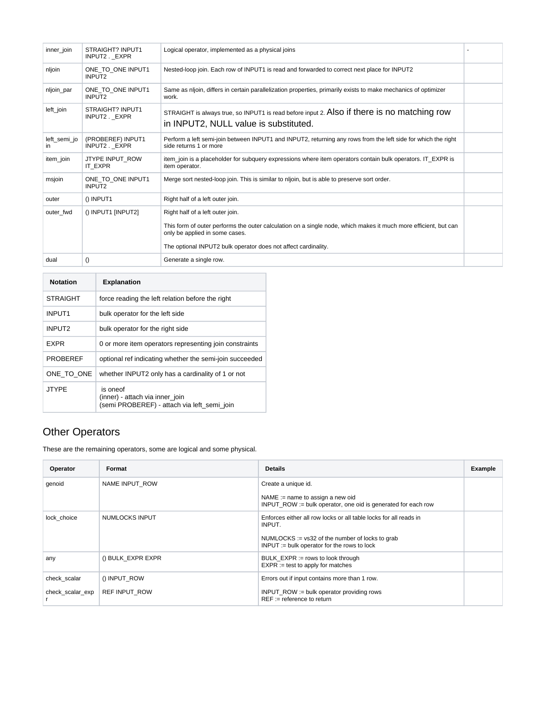| inner_join         | STRAIGHT? INPUT1<br>INPUT2 . EXPR       | Logical operator, implemented as a physical joins                                                                                                 |  |
|--------------------|-----------------------------------------|---------------------------------------------------------------------------------------------------------------------------------------------------|--|
| nljoin             | ONE TO ONE INPUT1<br>INPUT2             | Nested-loop join. Each row of INPUT1 is read and forwarded to correct next place for INPUT2                                                       |  |
| nljoin_par         | ONE TO ONE INPUT1<br>INPUT <sub>2</sub> | Same as nlioin, differs in certain parallelization properties, primarily exists to make mechanics of optimizer<br>work.                           |  |
| left_join          | STRAIGHT? INPUT1<br>INPUT2. EXPR        | STRAIGHT is always true, so INPUT1 is read before input 2. Also if there is no matching row<br>in INPUT2, NULL value is substituted.              |  |
| left_semi_jo<br>ın | (PROBEREF) INPUT1<br>INPUT2. EXPR       | Perform a left semi-join between INPUT1 and INPUT2, returning any rows from the left side for which the right<br>side returns 1 or more           |  |
| item_join          | JTYPE INPUT_ROW<br>IT EXPR              | item_join is a placeholder for subquery expressions where item operators contain bulk operators. IT_EXPR is<br>item operator.                     |  |
| msjoin             | ONE TO ONE INPUT1<br>INPUT2             | Merge sort nested-loop join. This is similar to nljoin, but is able to preserve sort order.                                                       |  |
| outer              | $()$ INPUT1                             | Right half of a left outer join.                                                                                                                  |  |
| outer fwd          | () INPUT1 [INPUT2]                      | Right half of a left outer join.                                                                                                                  |  |
|                    |                                         | This form of outer performs the outer calculation on a single node, which makes it much more efficient, but can<br>only be applied in some cases. |  |
|                    |                                         | The optional INPUT2 bulk operator does not affect cardinality.                                                                                    |  |
| dual               | $\left( \right)$                        | Generate a single row.                                                                                                                            |  |
|                    |                                         |                                                                                                                                                   |  |

| <b>Notation</b>    | <b>Explanation</b>                                                                         |
|--------------------|--------------------------------------------------------------------------------------------|
| <b>STRAIGHT</b>    | force reading the left relation before the right                                           |
| INPUT <sub>1</sub> | bulk operator for the left side                                                            |
| INPUT <sub>2</sub> | bulk operator for the right side                                                           |
| <b>FXPR</b>        | 0 or more item operators representing join constraints                                     |
| <b>PROBEREF</b>    | optional ref indicating whether the semi-join succeeded                                    |
| ONE TO ONE         | whether INPUT2 only has a cardinality of 1 or not                                          |
| <b>JTYPE</b>       | is oneof<br>(inner) - attach via inner join<br>(semi PROBEREF) - attach via left semi join |

## <span id="page-3-0"></span>Other Operators

These are the remaining operators, some are logical and some physical.

| Operator         | Format               | <b>Details</b>                                                                                       | Example |
|------------------|----------------------|------------------------------------------------------------------------------------------------------|---------|
| qenoid           | NAME INPUT ROW       | Create a unique id.                                                                                  |         |
|                  |                      | NAME := name to assign a new oid<br>INPUT $ROW := bulk operator$ , one oid is generated for each row |         |
| lock choice      | NUMLOCKS INPUT       | Enforces either all row locks or all table locks for all reads in<br>INPUT.                          |         |
|                  |                      | $NUMLOCKS := vs32$ of the number of locks to grab<br>$INPUT := bulk operator for the rows to lock$   |         |
| any              | () BULK EXPR EXPR    | BULK $EXPR := rows$ to look through<br>$EXPR := test$ to apply for matches                           |         |
| check scalar     | () INPUT ROW         | Errors out if input contains more than 1 row.                                                        |         |
| check_scalar_exp | <b>REF INPUT ROW</b> | INPUT_ROW := bulk operator providing rows<br>$REF := reference$ to return                            |         |